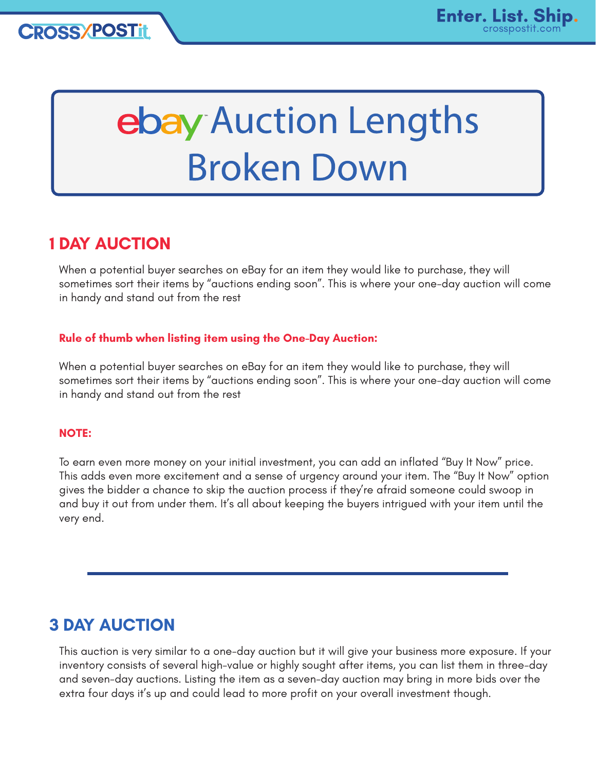# ebay Auction Lengths **Broken Down**

## **1 DAY AUCTION**

When a potential buyer searches on eBay for an item they would like to purchase, they will sometimes sort their items by "auctions ending soon". This is where your one-day auction will come in handy and stand out from the rest

#### **Rule of thumb when listing item using the One-Day Auction:**

When a potential buyer searches on eBay for an item they would like to purchase, they will sometimes sort their items by "auctions ending soon". This is where your one-day auction will come in handy and stand out from the rest

#### **NOTE:**

To earn even more money on your initial investment, you can add an inflated "Buy It Now" price. This adds even more excitement and a sense of urgency around your item. The "Buy It Now" option gives the bidder a chance to skip the auction process if they're afraid someone could swoop in and buy it out from under them. It's all about keeping the buyers intrigued with your item until the very end.

# **3 DAY AUCTION**

This auction is very similar to a one-day auction but it will give your business more exposure. If your inventory consists of several high-value or highly sought after items, you can list them in three-day and seven-day auctions. Listing the item as a seven-day auction may bring in more bids over the extra four days it's up and could lead to more profit on your overall investment though.